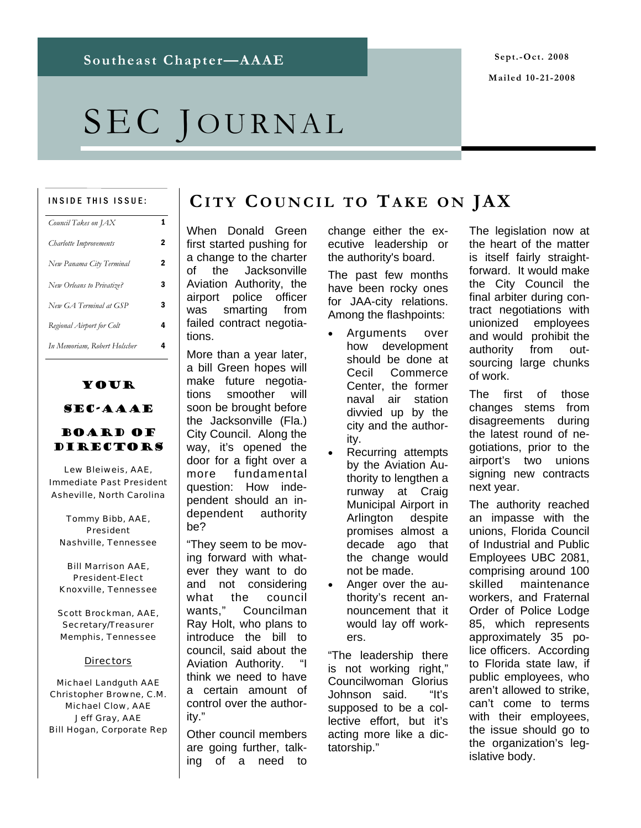# SEC JOURNAL

#### INSIDE THIS ISSUE:

| Council Takes on JAX         |   |
|------------------------------|---|
| Charlotte Improvements       | 2 |
| New Panama City Terminal     | 2 |
| New Orleans to Privatize?    | з |
| New GA Terminal at GSP       | 3 |
| Regional Airport for Colt    | 4 |
| In Memoriam, Robert Holscher | 4 |
|                              |   |

### Your

#### SEC-AAAE

#### Board of Directors

*Lew Bleiweis, AAE, Immediate Past President Asheville, North Carolina* 

*Tommy Bibb, AAE, President Nashville, Tennessee* 

*Bill Marrison AAE, President-Elect Knoxville, Tennessee* 

*Scott Brockman, AAE, Secretary/Treasurer Memphis, Tennessee* 

#### *Directors*

*Michael Landguth AAE Christopher Browne, C.M. Michael Clow, AAE Jeff Gray, AAE Bill Hogan, Corporate Rep* 

### **CITY COUNCIL TO TAKE ON JAX**

When Donald Green first started pushing for a change to the charter of the Jacksonville Aviation Authority, the airport police officer was smarting from failed contract negotiations.

More than a year later, a bill Green hopes will make future negotiations smoother will soon be brought before the Jacksonville (Fla.) City Council. Along the way, it's opened the door for a fight over a more fundamental question: How independent should an independent authority be?

"They seem to be moving forward with whatever they want to do and not considering what the council wants," Councilman Ray Holt, who plans to introduce the bill to council, said about the Aviation Authority. think we need to have a certain amount of control over the authority."

Other council members are going further, talking of a need to

change either the executive leadership or the authority's board.

The past few months have been rocky ones for JAA-city relations. Among the flashpoints:

- Arguments over how development should be done at Cecil Commerce Center, the former naval air station divvied up by the city and the authority.
- Recurring attempts by the Aviation Authority to lengthen a runway at Craig Municipal Airport in Arlington despite promises almost a decade ago that the change would not be made.
- Anger over the authority's recent announcement that it would lay off workers.

"The leadership there is not working right," Councilwoman Glorius Johnson said. "It's supposed to be a collective effort, but it's acting more like a dictatorship."

The legislation now at the heart of the matter is itself fairly straightforward. It would make the City Council the final arbiter during contract negotiations with unionized employees and would prohibit the authority from outsourcing large chunks of work.

The first of those changes stems from disagreements during the latest round of negotiations, prior to the airport's two unions signing new contracts next year.

The authority reached an impasse with the unions, Florida Council of Industrial and Public Employees UBC 2081, comprising around 100 skilled maintenance workers, and Fraternal Order of Police Lodge 85, which represents approximately 35 police officers. According to Florida state law, if public employees, who aren't allowed to strike, can't come to terms with their employees, the issue should go to the organization's legislative body.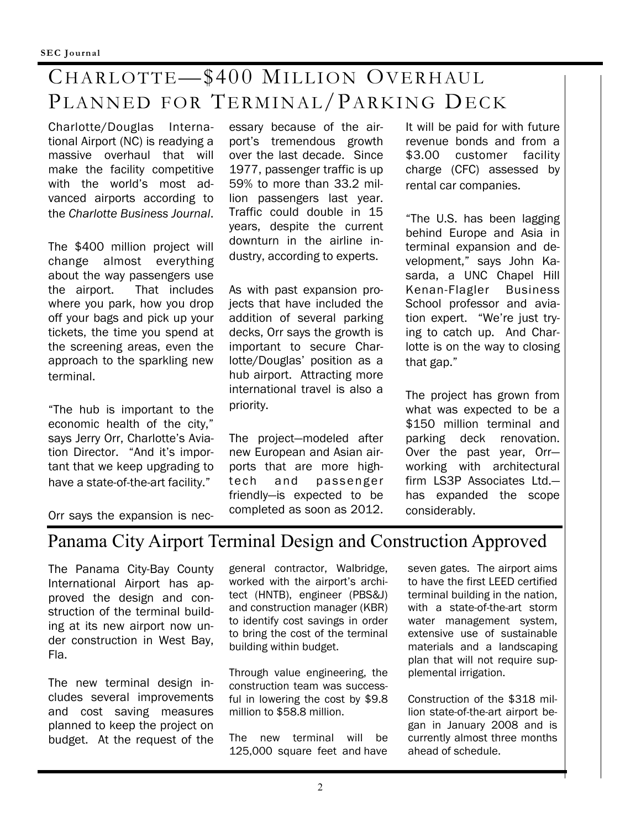## CHARLOTTE—\$400 MILLION OVERHAUL PLANNED FOR TERMINAL/PARKING DECK

Charlotte/Douglas International Airport (NC) is readying a massive overhaul that will make the facility competitive with the world's most advanced airports according to the *Charlotte Business Journal*.

The \$400 million project will change almost everything about the way passengers use the airport. That includes where you park, how you drop off your bags and pick up your tickets, the time you spend at the screening areas, even the approach to the sparkling new terminal.

"The hub is important to the economic health of the city," says Jerry Orr, Charlotte's Aviation Director. "And it's important that we keep upgrading to have a state-of-the-art facility."

essary because of the airport's tremendous growth over the last decade. Since 1977, passenger traffic is up 59% to more than 33.2 million passengers last year. Traffic could double in 15 years, despite the current downturn in the airline industry, according to experts.

As with past expansion projects that have included the addition of several parking decks, Orr says the growth is important to secure Charlotte/Douglas' position as a hub airport. Attracting more international travel is also a priority.

The project—modeled after new European and Asian airports that are more hightech and passenger friendly—is expected to be completed as soon as 2012. It will be paid for with future revenue bonds and from a \$3.00 customer facility charge (CFC) assessed by rental car companies.

"The U.S. has been lagging behind Europe and Asia in terminal expansion and development," says John Kasarda, a UNC Chapel Hill Kenan-Flagler Business School professor and aviation expert. "We're just trying to catch up. And Charlotte is on the way to closing that gap."

The project has grown from what was expected to be a \$150 million terminal and parking deck renovation. Over the past year, Orr working with architectural firm LS3P Associates Ltd. has expanded the scope considerably.

Orr says the expansion is nec-

### Panama City Airport Terminal Design and Construction Approved

The Panama City-Bay County International Airport has approved the design and construction of the terminal building at its new airport now under construction in West Bay, Fla.

The new terminal design includes several improvements and cost saving measures planned to keep the project on budget. At the request of the

general contractor, Walbridge, worked with the airport's architect (HNTB), engineer (PBS&J) and construction manager (KBR) to identify cost savings in order to bring the cost of the terminal building within budget.

Through value engineering, the construction team was successful in lowering the cost by \$9.8 million to \$58.8 million.

The new terminal will be 125,000 square feet and have

seven gates. The airport aims to have the first LEED certified terminal building in the nation, with a state-of-the-art storm water management system, extensive use of sustainable materials and a landscaping plan that will not require supplemental irrigation.

Construction of the \$318 million state-of-the-art airport began in January 2008 and is currently almost three months ahead of schedule.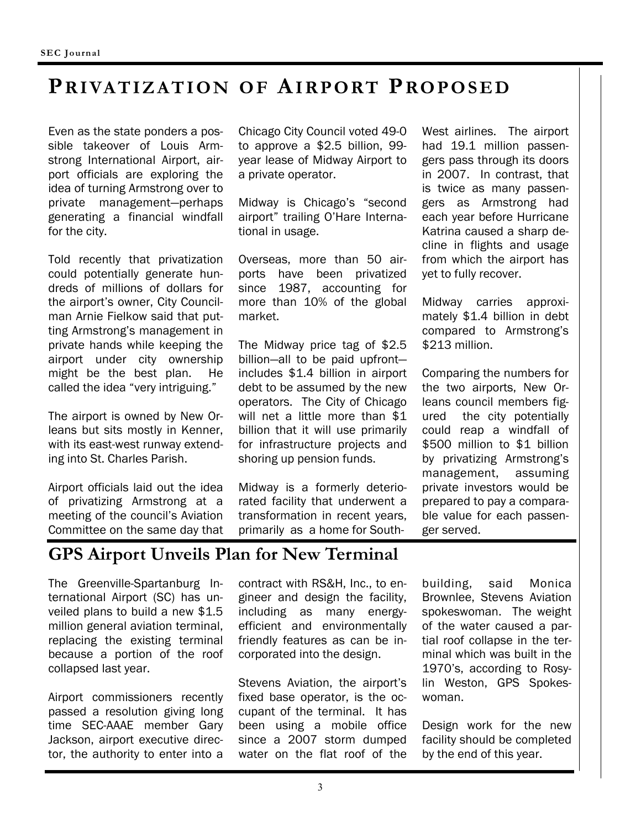### **PRIVATIZATION OF AIRPORT PROPOSED**

Even as the state ponders a possible takeover of Louis Armstrong International Airport, airport officials are exploring the idea of turning Armstrong over to private management—perhaps generating a financial windfall for the city.

Told recently that privatization could potentially generate hundreds of millions of dollars for the airport's owner, City Councilman Arnie Fielkow said that putting Armstrong's management in private hands while keeping the airport under city ownership might be the best plan. He called the idea "very intriguing."

The airport is owned by New Orleans but sits mostly in Kenner, with its east-west runway extending into St. Charles Parish.

Airport officials laid out the idea of privatizing Armstrong at a meeting of the council's Aviation Committee on the same day that

Chicago City Council voted 49-0 to approve a \$2.5 billion, 99 year lease of Midway Airport to a private operator.

Midway is Chicago's "second airport" trailing O'Hare International in usage.

Overseas, more than 50 airports have been privatized since 1987, accounting for more than 10% of the global market.

The Midway price tag of \$2.5 billion—all to be paid upfront includes \$1.4 billion in airport debt to be assumed by the new operators. The City of Chicago will net a little more than \$1 billion that it will use primarily for infrastructure projects and shoring up pension funds.

Midway is a formerly deteriorated facility that underwent a transformation in recent years, primarily as a home for SouthWest airlines. The airport had 19.1 million passengers pass through its doors in 2007. In contrast, that is twice as many passengers as Armstrong had each year before Hurricane Katrina caused a sharp decline in flights and usage from which the airport has yet to fully recover.

Midway carries approximately \$1.4 billion in debt compared to Armstrong's \$213 million.

Comparing the numbers for the two airports, New Orleans council members figured the city potentially could reap a windfall of \$500 million to \$1 billion by privatizing Armstrong's management, assuming private investors would be prepared to pay a comparable value for each passenger served.

### **GPS Airport Unveils Plan for New Terminal**

The Greenville-Spartanburg International Airport (SC) has unveiled plans to build a new \$1.5 million general aviation terminal, replacing the existing terminal because a portion of the roof collapsed last year.

Airport commissioners recently passed a resolution giving long time SEC-AAAE member Gary Jackson, airport executive director, the authority to enter into a

contract with RS&H, Inc., to engineer and design the facility, including as many energyefficient and environmentally friendly features as can be incorporated into the design.

Stevens Aviation, the airport's fixed base operator, is the occupant of the terminal. It has been using a mobile office since a 2007 storm dumped water on the flat roof of the building, said Monica Brownlee, Stevens Aviation spokeswoman. The weight of the water caused a partial roof collapse in the terminal which was built in the 1970's, according to Rosylin Weston, GPS Spokeswoman.

Design work for the new facility should be completed by the end of this year.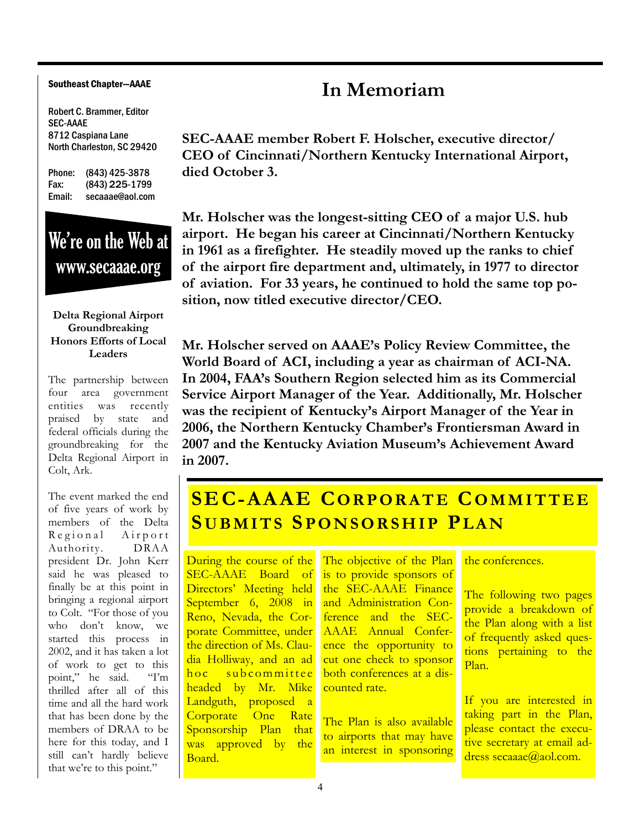#### Southeast Chapter—AAAE

Robert C. Brammer, Editor SEC-AAAE 8712 Caspiana Lane North Charleston, SC 29420

Phone: (843) 425-3878 Fax: (843) 225-1799 Email: secaaae@aol.com

## We're on the Web at www.secaaae.org

#### **Delta Regional Airport Groundbreaking Honors Efforts of Local Leaders**

The partnership between four area government entities was recently praised by state and federal officials during the groundbreaking for the Delta Regional Airport in Colt, Ark.

The event marked the end of five years of work by members of the Delta Regional Airport Authority. DRAA president Dr. John Kerr said he was pleased to finally be at this point in bringing a regional airport to Colt. "For those of you who don't know, we started this process in 2002, and it has taken a lot of work to get to this<br>point." he said. "I'm point," he said. thrilled after all of this time and all the hard work that has been done by the members of DRAA to be here for this today, and I still can't hardly believe that we're to this point."

### **In Memoriam**

**SEC-AAAE member Robert F. Holscher, executive director/ CEO of Cincinnati/Northern Kentucky International Airport, died October 3.** 

**Mr. Holscher was the longest-sitting CEO of a major U.S. hub airport. He began his career at Cincinnati/Northern Kentucky in 1961 as a firefighter. He steadily moved up the ranks to chief of the airport fire department and, ultimately, in 1977 to director of aviation. For 33 years, he continued to hold the same top position, now titled executive director/CEO.** 

**Mr. Holscher served on AAAE's Policy Review Committee, the World Board of ACI, including a year as chairman of ACI-NA. In 2004, FAA's Southern Region selected him as its Commercial Service Airport Manager of the Year. Additionally, Mr. Holscher was the recipient of Kentucky's Airport Manager of the Year in 2006, the Northern Kentucky Chamber's Frontiersman Award in 2007 and the Kentucky Aviation Museum's Achievement Award in 2007.** 

### **SEC-AAAE CORPORATE COMMITTEE SUBMITS SPONSORSHIP PLAN**

During the course of the SEC-AAAE Board of Directors' Meeting held September 6, 2008 in Reno, Nevada, the Corporate Committee, under the direction of Ms. Claudia Holliway, and an ad hoc subcommittee headed by Mr. Mike Landguth, proposed a Corporate One Rate Sponsorship Plan that was approved by the Board.

The objective of the Plan is to provide sponsors of the SEC-AAAE Finance and Administration Conference and the SEC-AAAE Annual Conference the opportunity to cut one check to sponsor both conferences at a discounted rate.

The Plan is also available to airports that may have an interest in sponsoring

the conferences.

The following two pages provide a breakdown of the Plan along with a list of frequently asked questions pertaining to the Plan.

If you are interested in taking part in the Plan, please contact the executive secretary at email address secaaae@aol.com.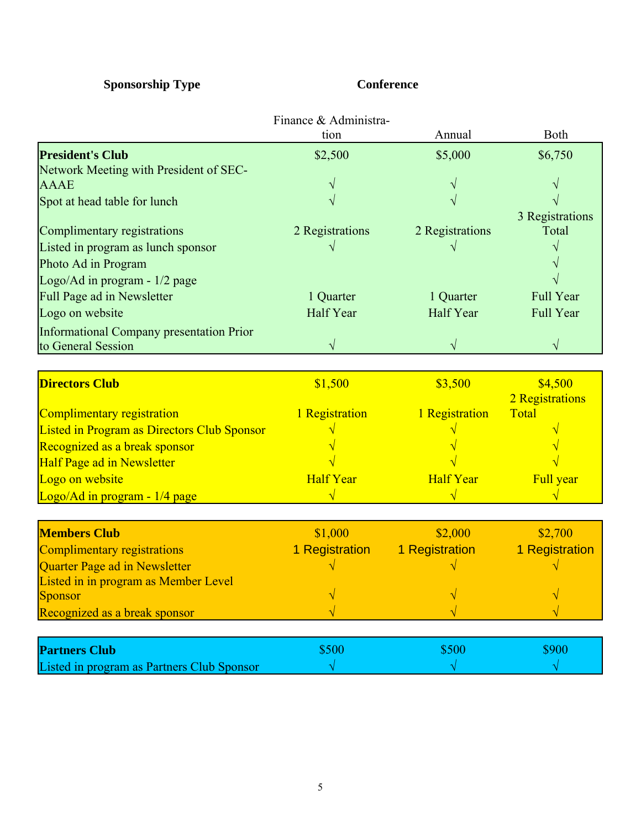### **Sponsorship Type Conference**

|                                                    | Finance & Administra-<br>tion | Annual           | <b>Both</b>      |
|----------------------------------------------------|-------------------------------|------------------|------------------|
| <b>President's Club</b>                            | \$2,500                       | \$5,000          | \$6,750          |
| Network Meeting with President of SEC-             |                               |                  |                  |
| <b>AAAE</b>                                        |                               |                  |                  |
| Spot at head table for lunch                       |                               |                  |                  |
|                                                    |                               |                  | 3 Registrations  |
| Complimentary registrations                        | 2 Registrations               | 2 Registrations  | Total            |
| Listed in program as lunch sponsor                 |                               |                  |                  |
| Photo Ad in Program                                |                               |                  |                  |
| Logo/Ad in program - 1/2 page                      |                               |                  |                  |
| Full Page ad in Newsletter                         | 1 Quarter                     | 1 Quarter        | <b>Full Year</b> |
| Logo on website                                    | Half Year                     | Half Year        | <b>Full Year</b> |
| <b>Informational Company presentation Prior</b>    |                               |                  |                  |
| to General Session                                 |                               | $\sqrt{ }$       |                  |
|                                                    |                               |                  |                  |
| <b>Directors Club</b>                              | \$1,500                       | \$3,500          | \$4,500          |
|                                                    |                               |                  | 2 Registrations  |
| Complimentary registration                         | 1 Registration                | 1 Registration   | Total            |
| <b>Listed in Program as Directors Club Sponsor</b> |                               |                  |                  |
| Recognized as a break sponsor                      |                               |                  |                  |
| <b>Half Page ad in Newsletter</b>                  |                               |                  |                  |
| Logo on website                                    | <b>Half Year</b>              | <b>Half Year</b> | Full year        |
| Logo/Ad in program - 1/4 page                      |                               |                  |                  |
| <b>Members Club</b>                                | \$1,000                       | \$2,000          | \$2,700          |
| <b>Complimentary registrations</b>                 | 1 Registration                | 1 Registration   | 1 Registration   |
| Quarter Page ad in Newsletter                      |                               |                  |                  |
| Listed in in program as Member Level               |                               |                  |                  |
| <b>Sponsor</b>                                     |                               |                  |                  |
| Recognized as a break sponsor                      |                               |                  |                  |
|                                                    |                               |                  |                  |
| <b>Partners Club</b>                               | \$500                         | \$500            | \$900            |
| Listed in program as Partners Club Sponsor         | $\sqrt{}$                     | $\sqrt{}$        | $\sqrt{}$        |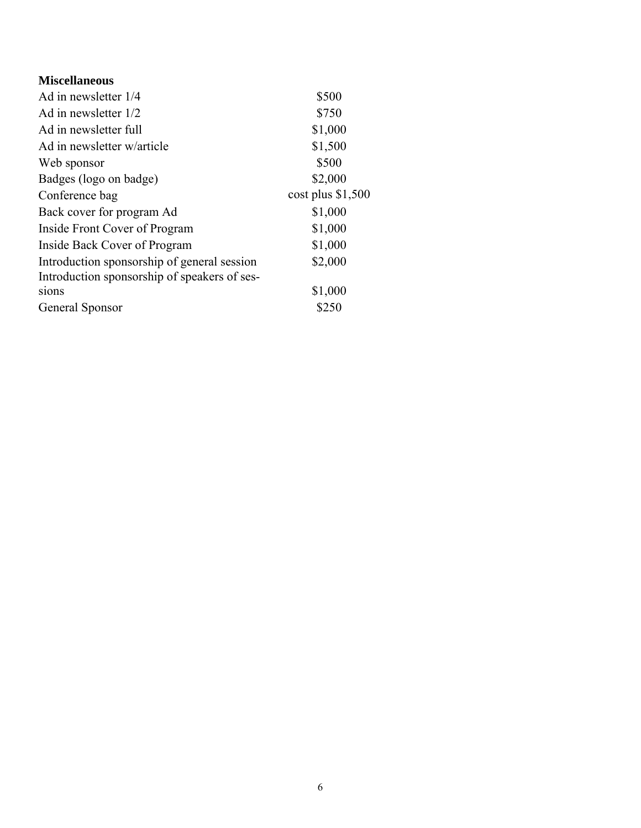| <b>Miscellaneous</b>                         |                     |
|----------------------------------------------|---------------------|
| Ad in newsletter 1/4                         | \$500               |
| Ad in newsletter 1/2                         | \$750               |
| Ad in newsletter full                        | \$1,000             |
| Ad in newsletter w/article                   | \$1,500             |
| Web sponsor                                  | \$500               |
| Badges (logo on badge)                       | \$2,000             |
| Conference bag                               | $cost$ plus \$1,500 |
| Back cover for program Ad                    | \$1,000             |
| Inside Front Cover of Program                | \$1,000             |
| Inside Back Cover of Program                 | \$1,000             |
| Introduction sponsorship of general session  | \$2,000             |
| Introduction sponsorship of speakers of ses- |                     |
| sions                                        | \$1,000             |
| General Sponsor                              | \$250               |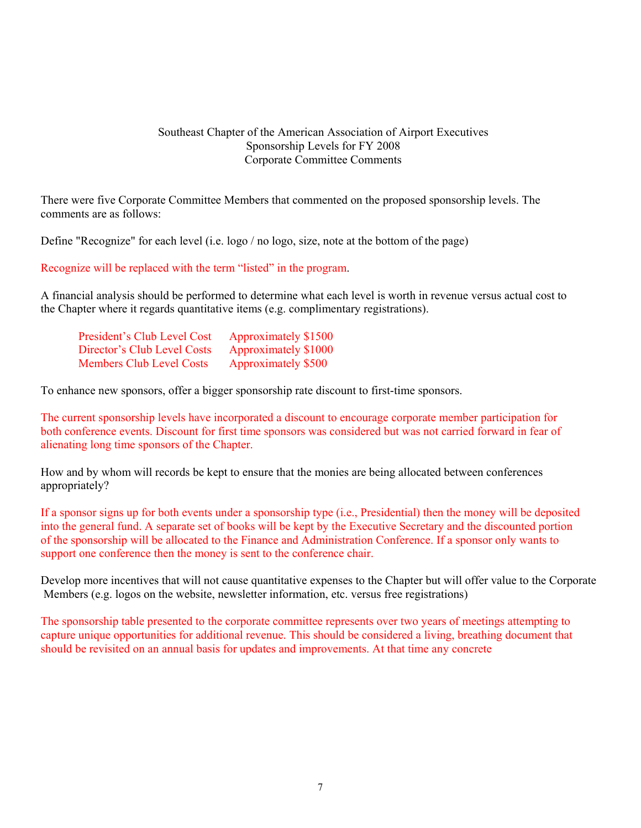#### Southeast Chapter of the American Association of Airport Executives Sponsorship Levels for FY 2008 Corporate Committee Comments

 There were five Corporate Committee Members that commented on the proposed sponsorship levels. The comments are as follows:

Define "Recognize" for each level (i.e. logo / no logo, size, note at the bottom of the page)

Recognize will be replaced with the term "listed" in the program.

 A financial analysis should be performed to determine what each level is worth in revenue versus actual cost to the Chapter where it regards quantitative items (e.g. complimentary registrations).

| President's Club Level Cost     | Approximately \$1500 |
|---------------------------------|----------------------|
| Director's Club Level Costs     | Approximately \$1000 |
| <b>Members Club Level Costs</b> | Approximately \$500  |

To enhance new sponsors, offer a bigger sponsorship rate discount to first-time sponsors.

 The current sponsorship levels have incorporated a discount to encourage corporate member participation for both conference events. Discount for first time sponsors was considered but was not carried forward in fear of alienating long time sponsors of the Chapter.

 How and by whom will records be kept to ensure that the monies are being allocated between conferences appropriately?

 If a sponsor signs up for both events under a sponsorship type (i.e., Presidential) then the money will be deposited into the general fund. A separate set of books will be kept by the Executive Secretary and the discounted portion of the sponsorship will be allocated to the Finance and Administration Conference. If a sponsor only wants to support one conference then the money is sent to the conference chair.

 Develop more incentives that will not cause quantitative expenses to the Chapter but will offer value to the Corporate Members (e.g. logos on the website, newsletter information, etc. versus free registrations)

 The sponsorship table presented to the corporate committee represents over two years of meetings attempting to capture unique opportunities for additional revenue. This should be considered a living, breathing document that should be revisited on an annual basis for updates and improvements. At that time any concrete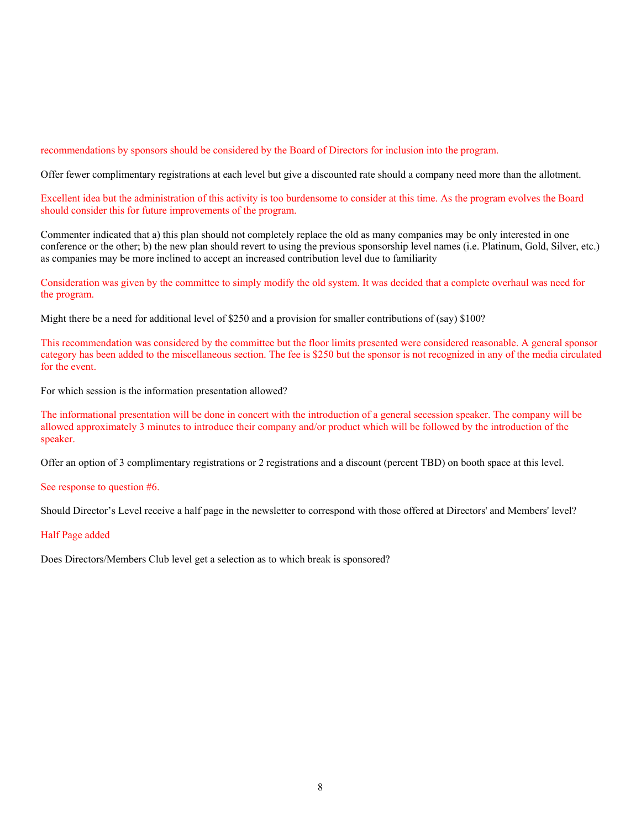recommendations by sponsors should be considered by the Board of Directors for inclusion into the program.

Offer fewer complimentary registrations at each level but give a discounted rate should a company need more than the allotment.

 Excellent idea but the administration of this activity is too burdensome to consider at this time. As the program evolves the Board should consider this for future improvements of the program.

 Commenter indicated that a) this plan should not completely replace the old as many companies may be only interested in one conference or the other; b) the new plan should revert to using the previous sponsorship level names (i.e. Platinum, Gold, Silver, etc.) as companies may be more inclined to accept an increased contribution level due to familiarity

 Consideration was given by the committee to simply modify the old system. It was decided that a complete overhaul was need for the program.

Might there be a need for additional level of \$250 and a provision for smaller contributions of (say) \$100?

 This recommendation was considered by the committee but the floor limits presented were considered reasonable. A general sponsor category has been added to the miscellaneous section. The fee is \$250 but the sponsor is not recognized in any of the media circulated for the event.

For which session is the information presentation allowed?

 The informational presentation will be done in concert with the introduction of a general secession speaker. The company will be allowed approximately 3 minutes to introduce their company and/or product which will be followed by the introduction of the speaker.

Offer an option of 3 complimentary registrations or 2 registrations and a discount (percent TBD) on booth space at this level.

See response to question #6.

Should Director's Level receive a half page in the newsletter to correspond with those offered at Directors' and Members' level?

#### Half Page added

Does Directors/Members Club level get a selection as to which break is sponsored?